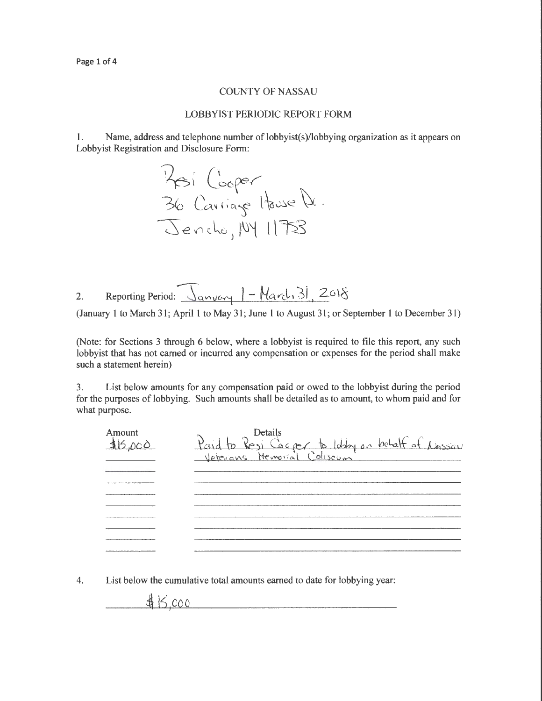## COUNTY OF NASSAU

## LOBBYIST PERIODIC REPORT FORM

1. Name, address and telephone number of lobbyist(s)/lobbying organization as it appears on Lobbyist Registration and Disclosure Form:

Hesi Cooper<br>36 Cavriage House D. Jencho, 194 1175

2. Reporting Period:  $\sqrt{q_{\text{avycy}}}$  | - March 31, 2018

(January 1 to March 31; April 1 to May 31; June 1 to August 31; or September 1 to December 31)

(Note: for Sections 3 through 6 below, where a lobbyist is required to file this report, any such lobbyist that has not earned or incurred any compensation or expenses for the period shall make such a statement herein)

3. List below amounts for any compensation paid or owed to the lobbyist during the period for the purposes of lobbying. Such amounts shall be detailed as to amount, to whom paid and for what purpose.



4. List below the cumulative total amounts earned to date for lobbying year:

 $\frac{1}{2}$  is coo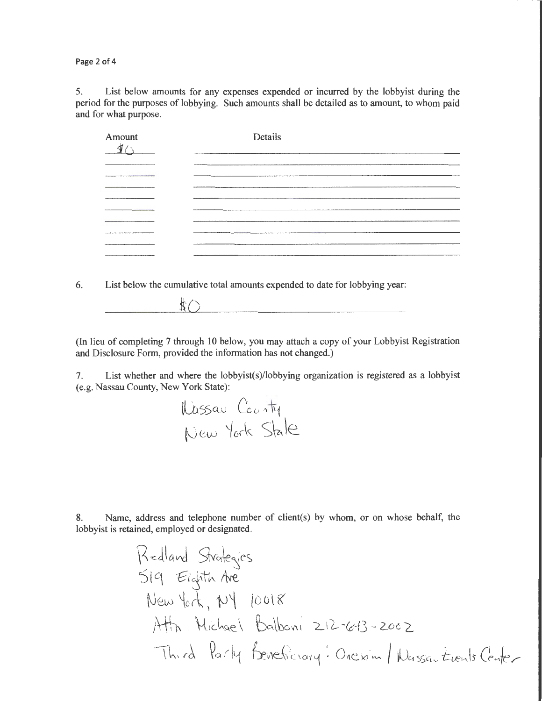Page 2 of 4

5. List below amounts for any expenses expended or incurred by the lobbyist during the period for the purposes of lobbying. Such amounts shall be detailed as to amount, to whom paid and for what purpose.

| Amount | Details |
|--------|---------|
|        |         |
|        |         |
|        |         |
|        |         |
|        |         |
|        |         |

6. List below the cumulative total amounts expended to date for lobbying year:

 $\text{t}$  ( ) and ( ) and ( ) and ( ) and ( ) and ( ) and ( ) and ( ) and ( ) and ( ) and ( ) and ( ) and ( ) and ( ) and ( ) and ( ) and ( ) and ( ) and ( ) and ( ) and ( ) and ( ) and ( ) and ( ) and ( ) and ( ) and ( ) a

(In lieu of completing 7 through 10 below, you may attach a copy of your Lobbyist Registration and Disclosure Form, provided the information has not changed.)

7. List whether and where the Jobbyist(s)/lobbying organization is registered as a lobbyist (e.g. Nassau County, New York State):

tlbsscuJ Co *u* ""~ t0~ ~o~k s~\e

8. Name, address and telephone number of client(s) by whom, or on whose behalf, the lobbyist is retained, employed or designated.

B-Jlav-J Str~k~c~ '5l q t?t'~\th M-New ~or~ , iJ i Mh ' ' \{1<:-k\_(\e\_ \ \t\ r~ *?arl'i*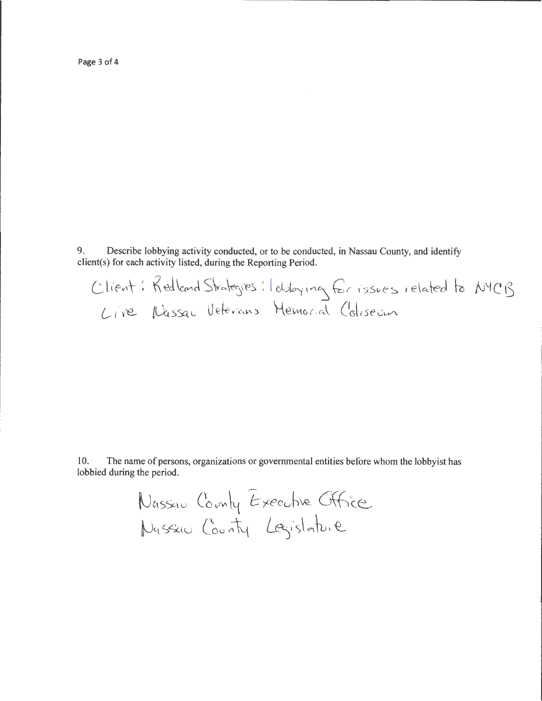Page 3 of 4

9. Describe lobbying activity conducted, or to be conducted, in Nassau County, and identify client(s) for each activity listed, during the Reporting Period.

Client: Redland Strategies: I obbying for issues related to NYCB Live Nassau Veterans Memorial Coliseum

10. The name of persons, organizations or governmental entities before whom the lobby ist has lobbied during the period.

> Nassau County Executive Office Nassau County Lagislature